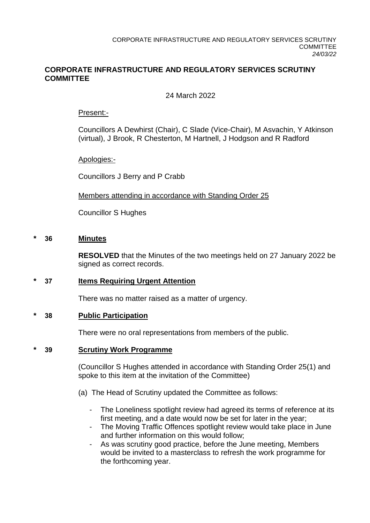## **CORPORATE INFRASTRUCTURE AND REGULATORY SERVICES SCRUTINY COMMITTEE**

## 24 March 2022

## Present:-

Councillors A Dewhirst (Chair), C Slade (Vice-Chair), M Asvachin, Y Atkinson (virtual), J Brook, R Chesterton, M Hartnell, J Hodgson and R Radford

Apologies:-

Councillors J Berry and P Crabb

Members attending in accordance with Standing Order 25

Councillor S Hughes

### **\* 36 Minutes**

**RESOLVED** that the Minutes of the two meetings held on 27 January 2022 be signed as correct records.

## **\* 37 Items Requiring Urgent Attention**

There was no matter raised as a matter of urgency.

### **\* 38 Public Participation**

There were no oral representations from members of the public.

## **\* 39 Scrutiny Work Programme**

(Councillor S Hughes attended in accordance with Standing Order 25(1) and spoke to this item at the invitation of the Committee)

- (a) The Head of Scrutiny updated the Committee as follows:
	- The Loneliness spotlight review had agreed its terms of reference at its first meeting, and a date would now be set for later in the year;
	- The Moving Traffic Offences spotlight review would take place in June and further information on this would follow;
	- As was scrutiny good practice, before the June meeting, Members would be invited to a masterclass to refresh the work programme for the forthcoming year.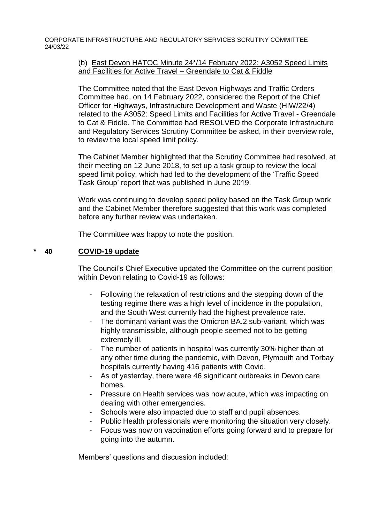CORPORATE INFRASTRUCTURE AND REGULATORY SERVICES SCRUTINY COMMITTEE 24/03/22

## (b) East Devon HATOC Minute 24\*/14 February 2022: A3052 Speed Limits and Facilities for Active Travel – Greendale to Cat & Fiddle

The Committee noted that the East Devon Highways and Traffic Orders Committee had, on 14 February 2022, considered the Report of the Chief Officer for Highways, Infrastructure Development and Waste (HIW/22/4) related to the A3052: Speed Limits and Facilities for Active Travel - Greendale to Cat & Fiddle. The Committee had RESOLVED the Corporate Infrastructure and Regulatory Services Scrutiny Committee be asked, in their overview role, to review the local speed limit policy.

The Cabinet Member highlighted that the Scrutiny Committee had resolved, at their meeting on 12 June 2018, to set up a task group to review the local speed limit policy, which had led to the development of the 'Traffic Speed Task Group' report that was published in June 2019.

Work was continuing to develop speed policy based on the Task Group work and the Cabinet Member therefore suggested that this work was completed before any further review was undertaken.

The Committee was happy to note the position.

## **\* 40 COVID-19 update**

The Council's Chief Executive updated the Committee on the current position within Devon relating to Covid-19 as follows:

- Following the relaxation of restrictions and the stepping down of the testing regime there was a high level of incidence in the population, and the South West currently had the highest prevalence rate.
- The dominant variant was the Omicron BA.2 sub-variant, which was highly transmissible, although people seemed not to be getting extremely ill.
- The number of patients in hospital was currently 30% higher than at any other time during the pandemic, with Devon, Plymouth and Torbay hospitals currently having 416 patients with Covid.
- As of yesterday, there were 46 significant outbreaks in Devon care homes.
- Pressure on Health services was now acute, which was impacting on dealing with other emergencies.
- Schools were also impacted due to staff and pupil absences.
- Public Health professionals were monitoring the situation very closely.
- Focus was now on vaccination efforts going forward and to prepare for going into the autumn.

Members' questions and discussion included: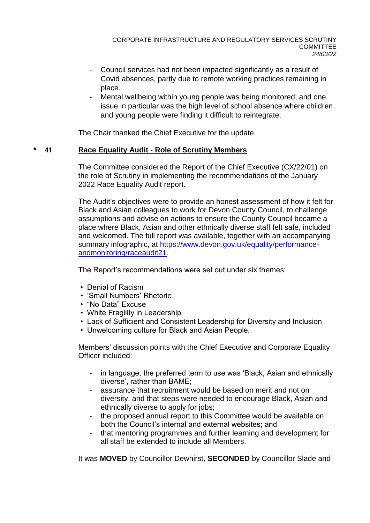- Council services had not been impacted significantly as a result of Covid absences, partly due to remote working practices remaining in place.
- Mental wellbeing within young people was being monitored; and one issue in particular was the high level of school absence where children and young people were finding it difficult to reintegrate.

The Chair thanked the Chief Executive for the update.

## **\* 41 Race Equality Audit - Role of Scrutiny Members**

The Committee considered the Report of the Chief Executive (CX/22/01) on the role of Scrutiny in implementing the recommendations of the January 2022 Race Equality Audit report.

The Audit's objectives were to provide an honest assessment of how it felt for Black and Asian colleagues to work for Devon County Council, to challenge assumptions and advise on actions to ensure the County Council became a place where Black, Asian and other ethnically diverse staff felt safe, included and welcomed. The full report was available, together with an accompanying summary infographic, at [https://www.devon.gov.uk/equality/performance](https://www.devon.gov.uk/equality/performance-andmonitoring/raceaudit21)[andmonitoring/raceaudit21.](https://www.devon.gov.uk/equality/performance-andmonitoring/raceaudit21)

The Report's recommendations were set out under six themes:

- Denial of Racism
- 'Small Numbers' Rhetoric
- "No Data" Excuse
- White Fragility in Leadership
- Lack of Sufficient and Consistent Leadership for Diversity and Inclusion
- Unwelcoming culture for Black and Asian People.

Members' discussion points with the Chief Executive and Corporate Equality Officer included:

- in language, the preferred term to use was 'Black, Asian and ethnically diverse', rather than BAME;
- assurance that recruitment would be based on merit and not on diversity, and that steps were needed to encourage Black, Asian and ethnically diverse to apply for jobs;
- the proposed annual report to this Committee would be available on both the Council's internal and external websites; and
- that mentoring programmes and further learning and development for all staff be extended to include all Members.

It was **MOVED** by Councillor Dewhirst, **SECONDED** by Councillor Slade and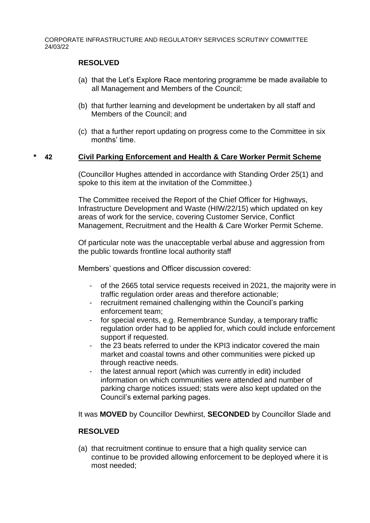CORPORATE INFRASTRUCTURE AND REGULATORY SERVICES SCRUTINY COMMITTEE 24/03/22

### **RESOLVED**

- (a) that the Let's Explore Race mentoring programme be made available to all Management and Members of the Council;
- (b) that further learning and development be undertaken by all staff and Members of the Council; and
- (c) that a further report updating on progress come to the Committee in six months' time.

### **\* 42 Civil Parking Enforcement and Health & Care Worker Permit Scheme**

(Councillor Hughes attended in accordance with Standing Order 25(1) and spoke to this item at the invitation of the Committee.)

The Committee received the Report of the Chief Officer for Highways, Infrastructure Development and Waste (HIW/22/15) which updated on key areas of work for the service, covering Customer Service, Conflict Management, Recruitment and the Health & Care Worker Permit Scheme.

Of particular note was the unacceptable verbal abuse and aggression from the public towards frontline local authority staff

Members' questions and Officer discussion covered:

- of the 2665 total service requests received in 2021, the majority were in traffic regulation order areas and therefore actionable;
- recruitment remained challenging within the Council's parking enforcement team;
- for special events, e.g. Remembrance Sunday, a temporary traffic regulation order had to be applied for, which could include enforcement support if requested.
- the 23 beats referred to under the KPI3 indicator covered the main market and coastal towns and other communities were picked up through reactive needs.
- the latest annual report (which was currently in edit) included information on which communities were attended and number of parking charge notices issued; stats were also kept updated on the Council's external parking pages.

It was **MOVED** by Councillor Dewhirst, **SECONDED** by Councillor Slade and

## **RESOLVED**

(a) that recruitment continue to ensure that a high quality service can continue to be provided allowing enforcement to be deployed where it is most needed;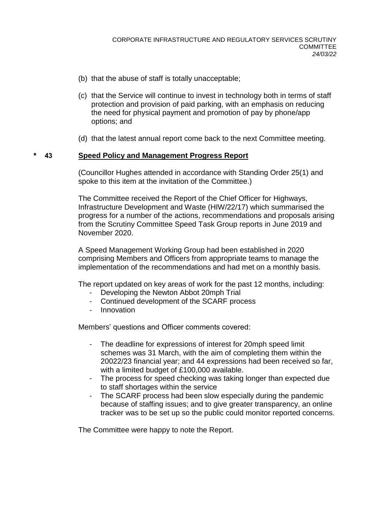- (b) that the abuse of staff is totally unacceptable;
- (c) that the Service will continue to invest in technology both in terms of staff protection and provision of paid parking, with an emphasis on reducing the need for physical payment and promotion of pay by phone/app options; and
- (d) that the latest annual report come back to the next Committee meeting.

### **\* 43 Speed Policy and Management Progress Report**

(Councillor Hughes attended in accordance with Standing Order 25(1) and spoke to this item at the invitation of the Committee.)

The Committee received the Report of the Chief Officer for Highways, Infrastructure Development and Waste (HIW/22/17) which summarised the progress for a number of the actions, recommendations and proposals arising from the Scrutiny Committee Speed Task Group reports in June 2019 and November 2020.

A Speed Management Working Group had been established in 2020 comprising Members and Officers from appropriate teams to manage the implementation of the recommendations and had met on a monthly basis.

The report updated on key areas of work for the past 12 months, including:

- Developing the Newton Abbot 20mph Trial
- Continued development of the SCARF process
- Innovation

Members' questions and Officer comments covered:

- The deadline for expressions of interest for 20mph speed limit schemes was 31 March, with the aim of completing them within the 20022/23 financial year; and 44 expressions had been received so far, with a limited budget of £100,000 available.
- The process for speed checking was taking longer than expected due to staff shortages within the service
- The SCARF process had been slow especially during the pandemic because of staffing issues; and to give greater transparency, an online tracker was to be set up so the public could monitor reported concerns.

The Committee were happy to note the Report.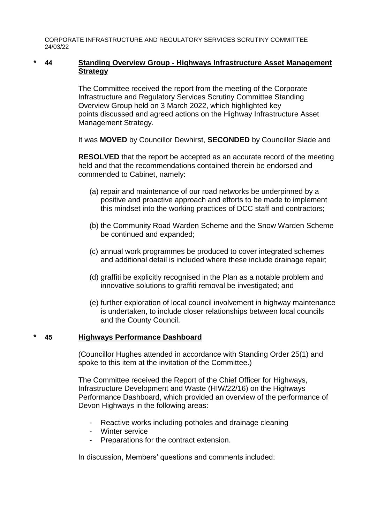CORPORATE INFRASTRUCTURE AND REGULATORY SERVICES SCRUTINY COMMITTEE 24/03/22

## **\* 44 Standing Overview Group - Highways Infrastructure Asset Management Strategy**

The Committee received the report from the meeting of the Corporate Infrastructure and Regulatory Services Scrutiny Committee Standing Overview Group held on 3 March 2022, which highlighted key points discussed and agreed actions on the Highway Infrastructure Asset Management Strategy.

It was **MOVED** by Councillor Dewhirst, **SECONDED** by Councillor Slade and

**RESOLVED** that the report be accepted as an accurate record of the meeting held and that the recommendations contained therein be endorsed and commended to Cabinet, namely:

- (a) repair and maintenance of our road networks be underpinned by a positive and proactive approach and efforts to be made to implement this mindset into the working practices of DCC staff and contractors;
- (b) the Community Road Warden Scheme and the Snow Warden Scheme be continued and expanded;
- (c) annual work programmes be produced to cover integrated schemes and additional detail is included where these include drainage repair;
- (d) graffiti be explicitly recognised in the Plan as a notable problem and innovative solutions to graffiti removal be investigated; and
- (e) further exploration of local council involvement in highway maintenance is undertaken, to include closer relationships between local councils and the County Council.

## **\* 45 Highways Performance Dashboard**

(Councillor Hughes attended in accordance with Standing Order 25(1) and spoke to this item at the invitation of the Committee.)

The Committee received the Report of the Chief Officer for Highways, Infrastructure Development and Waste (HIW/22/16) on the Highways Performance Dashboard, which provided an overview of the performance of Devon Highways in the following areas:

- Reactive works including potholes and drainage cleaning
- Winter service
- Preparations for the contract extension.

In discussion, Members' questions and comments included: